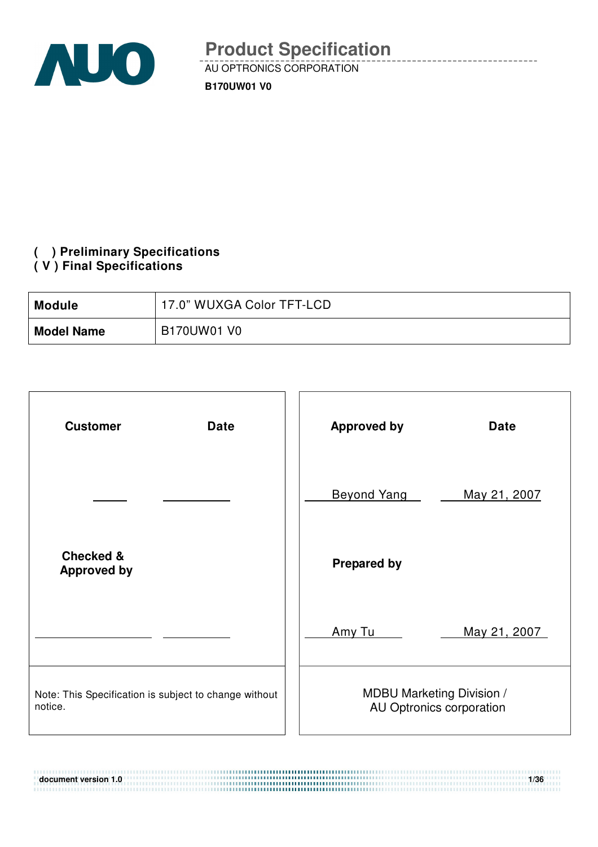

### **( ) Preliminary Specifications ( V ) Final Specifications**

| <b>Module</b>     | 17.0" WUXGA Color TFT-LCD |
|-------------------|---------------------------|
| <b>Model Name</b> | B170UW01 V0               |

| <b>Customer</b><br><b>Date</b>                                   | <b>Approved by</b><br><b>Date</b>                            |
|------------------------------------------------------------------|--------------------------------------------------------------|
|                                                                  | <b>Beyond Yang</b><br>May 21, 2007                           |
| <b>Checked &amp;</b><br><b>Approved by</b>                       | <b>Prepared by</b>                                           |
|                                                                  | Amy Tu<br>May 21, 2007                                       |
| Note: This Specification is subject to change without<br>notice. | <b>MDBU Marketing Division /</b><br>AU Optronics corporation |

**document version 1.0** 1/36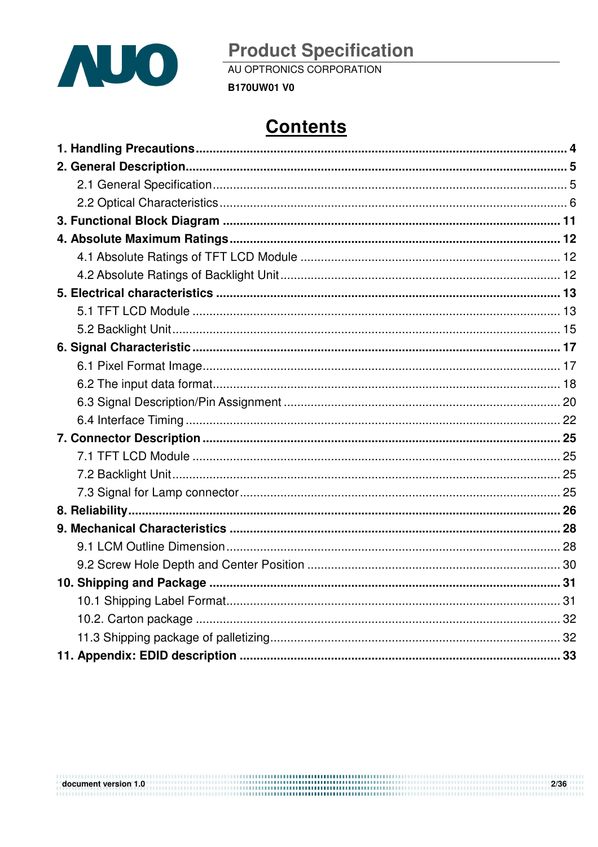

AU OPTRONICS CORPORATION

**B170UW01 V0** 

# **Contents**

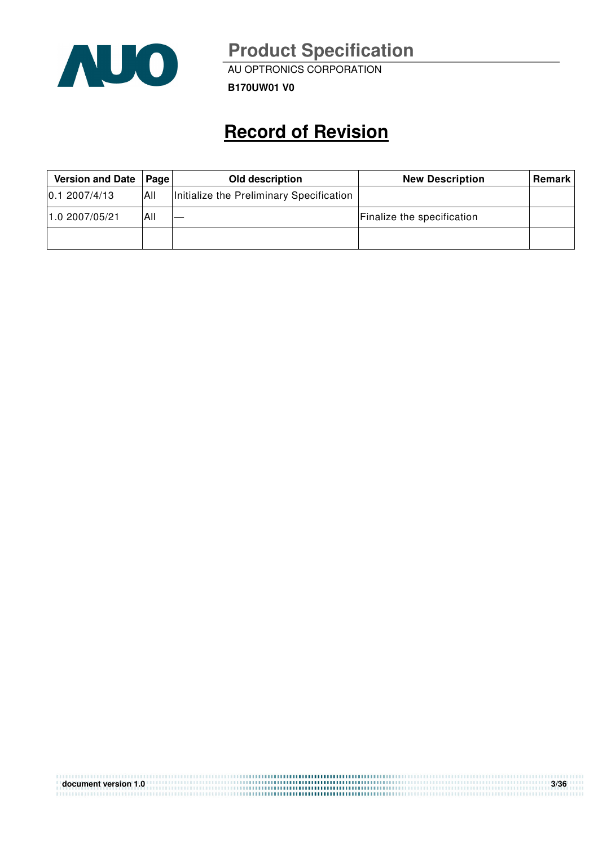

AU OPTRONICS CORPORATION

**B170UW01 V0**

# **Record of Revision**

| <b>Version and Date</b> | <b>Page</b> | Old description                          | <b>New Description</b>     | <b>Remark</b> |
|-------------------------|-------------|------------------------------------------|----------------------------|---------------|
| 0.12007/4/13            | 'All        | Initialize the Preliminary Specification |                            |               |
| 1.0 2007/05/21          | All         |                                          | Finalize the specification |               |
|                         |             |                                          |                            |               |

| document version 1.0 | 3/36 |
|----------------------|------|
|                      |      |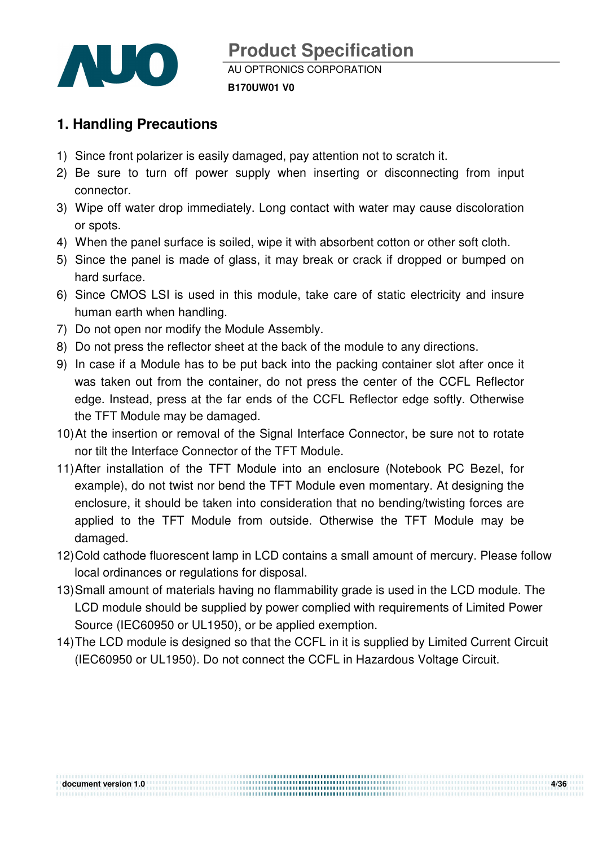

## **1. Handling Precautions**

- 1) Since front polarizer is easily damaged, pay attention not to scratch it.
- 2) Be sure to turn off power supply when inserting or disconnecting from input connector.
- 3) Wipe off water drop immediately. Long contact with water may cause discoloration or spots.
- 4) When the panel surface is soiled, wipe it with absorbent cotton or other soft cloth.
- 5) Since the panel is made of glass, it may break or crack if dropped or bumped on hard surface.
- 6) Since CMOS LSI is used in this module, take care of static electricity and insure human earth when handling.
- 7) Do not open nor modify the Module Assembly.
- 8) Do not press the reflector sheet at the back of the module to any directions.
- 9) In case if a Module has to be put back into the packing container slot after once it was taken out from the container, do not press the center of the CCFL Reflector edge. Instead, press at the far ends of the CCFL Reflector edge softly. Otherwise the TFT Module may be damaged.
- 10) At the insertion or removal of the Signal Interface Connector, be sure not to rotate nor tilt the Interface Connector of the TFT Module.
- 11) After installation of the TFT Module into an enclosure (Notebook PC Bezel, for example), do not twist nor bend the TFT Module even momentary. At designing the enclosure, it should be taken into consideration that no bending/twisting forces are applied to the TFT Module from outside. Otherwise the TFT Module may be damaged.
- 12) Cold cathode fluorescent lamp in LCD contains a small amount of mercury. Please follow local ordinances or regulations for disposal.
- 13) Small amount of materials having no flammability grade is used in the LCD module. The LCD module should be supplied by power complied with requirements of Limited Power Source (IEC60950 or UL1950), or be applied exemption.
- 14) The LCD module is designed so that the CCFL in it is supplied by Limited Current Circuit (IEC60950 or UL1950). Do not connect the CCFL in Hazardous Voltage Circuit.

**document version 1.0 4/36** 

,,,,,,,,,,,,,,,,,,,,,,,,,,,,,,,,,,,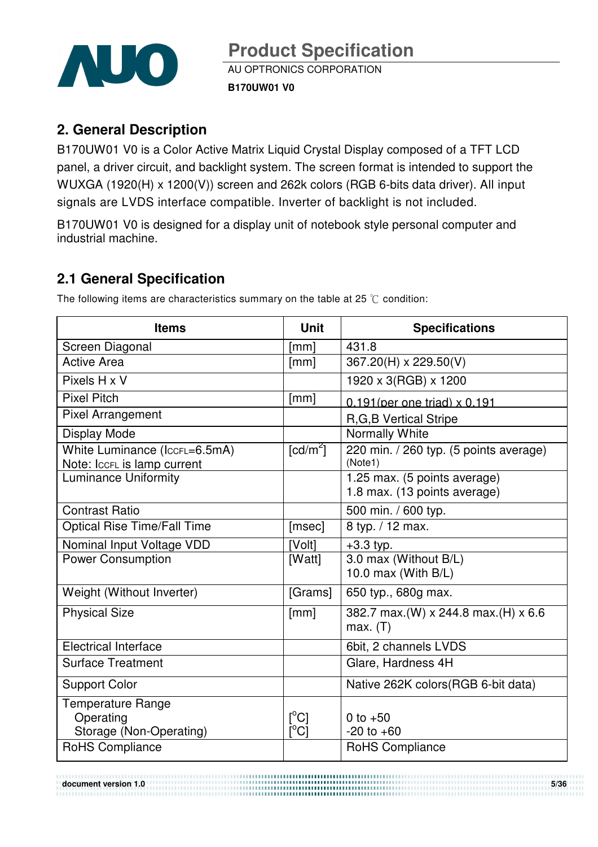

### **2. General Description**

B170UW01 V0 is a Color Active Matrix Liquid Crystal Display composed of a TFT LCD panel, a driver circuit, and backlight system. The screen format is intended to support the WUXGA (1920(H) x 1200(V)) screen and 262k colors (RGB 6-bits data driver). All input signals are LVDS interface compatible. Inverter of backlight is not included.

B170UW01 V0 is designed for a display unit of notebook style personal computer and industrial machine.

### **2.1 General Specification**

| <b>Items</b>                                                     | <b>Unit</b>                                                        | <b>Specifications</b>                                        |
|------------------------------------------------------------------|--------------------------------------------------------------------|--------------------------------------------------------------|
| Screen Diagonal                                                  | [mm]                                                               | 431.8                                                        |
| <b>Active Area</b>                                               | [mm]                                                               | 367.20(H) x 229.50(V)                                        |
| Pixels H x V                                                     |                                                                    | 1920 x 3(RGB) x 1200                                         |
| <b>Pixel Pitch</b>                                               | [mm]                                                               | $0.191$ (per one triad) $\times 0.191$                       |
| <b>Pixel Arrangement</b>                                         |                                                                    | <b>R,G,B Vertical Stripe</b>                                 |
| Display Mode                                                     |                                                                    | Normally White                                               |
| White Luminance (IccFL=6.5mA)<br>Note: IccFL is lamp current     | $\lceil cd/m^2 \rceil$                                             | 220 min. / 260 typ. (5 points average)<br>(Note1)            |
| <b>Luminance Uniformity</b>                                      |                                                                    | 1.25 max. (5 points average)<br>1.8 max. (13 points average) |
| <b>Contrast Ratio</b>                                            |                                                                    | 500 min. / 600 typ.                                          |
| <b>Optical Rise Time/Fall Time</b>                               | [msec]                                                             | 8 typ. / 12 max.                                             |
| Nominal Input Voltage VDD                                        | [Volt]                                                             | $+3.3$ typ.                                                  |
| <b>Power Consumption</b>                                         | [Watt]                                                             | 3.0 max (Without B/L)<br>10.0 max (With $B/L$ )              |
| Weight (Without Inverter)                                        | [Grams]                                                            | 650 typ., 680g max.                                          |
| <b>Physical Size</b>                                             | [mm]                                                               | 382.7 max.(W) x 244.8 max.(H) x 6.6<br>max. (T)              |
| <b>Electrical Interface</b>                                      |                                                                    | 6bit, 2 channels LVDS                                        |
| <b>Surface Treatment</b>                                         |                                                                    | Glare, Hardness 4H                                           |
| <b>Support Color</b>                                             |                                                                    | Native 262K colors (RGB 6-bit data)                          |
| <b>Temperature Range</b><br>Operating<br>Storage (Non-Operating) | $\mathsf{I}^{\circ}$ Cl<br>$\mathsf{I}^\circ\mathsf{C} \mathsf{I}$ | 0 to $+50$<br>$-20$ to $+60$                                 |
| RoHS Compliance                                                  |                                                                    | RoHS Compliance                                              |

The following items are characteristics summary on the table at 25  $\degree$ C condition:

**document version 1.0** 5/36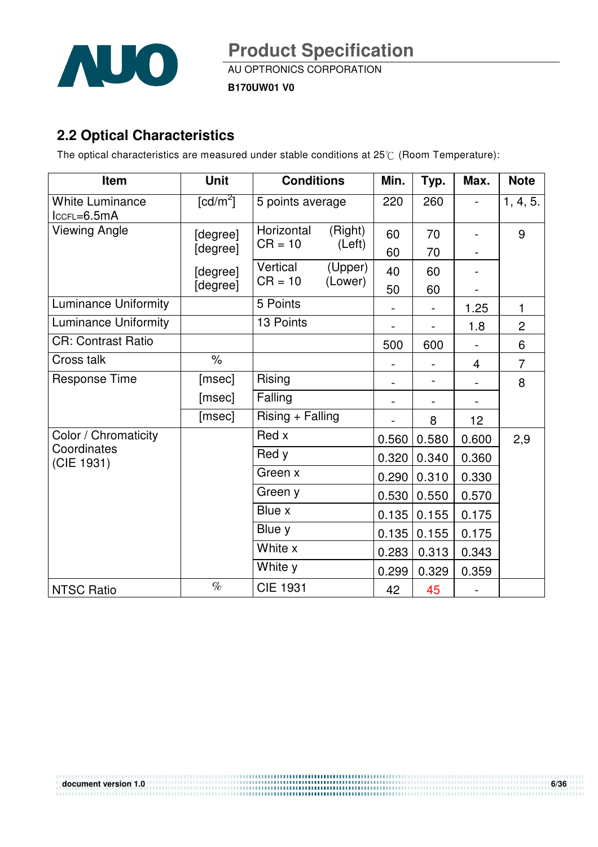

AU OPTRONICS CORPORATION

**B170UW01 V0**

### **2.2 Optical Characteristics**

The optical characteristics are measured under stable conditions at 25°C (Room Temperature):

| Item                                    | <b>Unit</b>            | <b>Conditions</b>       |                    | Min.  | Typ.  | Max.            | <b>Note</b>    |
|-----------------------------------------|------------------------|-------------------------|--------------------|-------|-------|-----------------|----------------|
| <b>White Luminance</b><br>$lccFL=6.5mA$ | $\lceil cd/m^2 \rceil$ | 5 points average        |                    | 220   | 260   |                 | 1, 4, 5.       |
| Viewing Angle                           | [degree]               | Horizontal<br>$CR = 10$ | (Right)<br>(Left)  | 60    | 70    |                 | 9              |
|                                         | [degree]               |                         |                    | 60    | 70    |                 |                |
|                                         | [degree]               | Vertical<br>$CR = 10$   | (Upper)<br>(Lower) | 40    | 60    |                 |                |
|                                         | [degree]               |                         |                    | 50    | 60    |                 |                |
| <b>Luminance Uniformity</b>             |                        | 5 Points                |                    |       |       | 1.25            | 1              |
| Luminance Uniformity                    |                        | 13 Points               |                    |       |       | 1.8             | $\overline{2}$ |
| <b>CR: Contrast Ratio</b>               |                        |                         |                    | 500   | 600   |                 | 6              |
| Cross talk                              | $\%$                   |                         |                    |       |       | $\overline{4}$  | $\overline{7}$ |
| <b>Response Time</b>                    | [msec]                 | Rising                  |                    |       |       |                 | 8              |
|                                         | [msec]                 | Falling                 |                    |       |       |                 |                |
|                                         | [msec]                 | Rising + Falling        |                    |       | 8     | 12 <sub>2</sub> |                |
| Color / Chromaticity                    |                        | Red x                   |                    | 0.560 | 0.580 | 0.600           | 2,9            |
| Coordinates<br>(CIE 1931)               |                        | Red y                   |                    | 0.320 | 0.340 | 0.360           |                |
|                                         |                        | Green x                 |                    | 0.290 | 0.310 | 0.330           |                |
|                                         |                        | Green y                 |                    | 0.530 | 0.550 | 0.570           |                |
|                                         |                        | Blue x                  |                    | 0.135 | 0.155 | 0.175           |                |
|                                         |                        | Blue y                  |                    | 0.135 | 0.155 | 0.175           |                |
|                                         |                        | White x                 |                    | 0.283 | 0.313 | 0.343           |                |
|                                         |                        | White y                 |                    | 0.299 | 0.329 | 0.359           |                |
| <b>NTSC Ratio</b>                       | $\%$                   | <b>CIE 1931</b>         |                    | 42    | 45    |                 |                |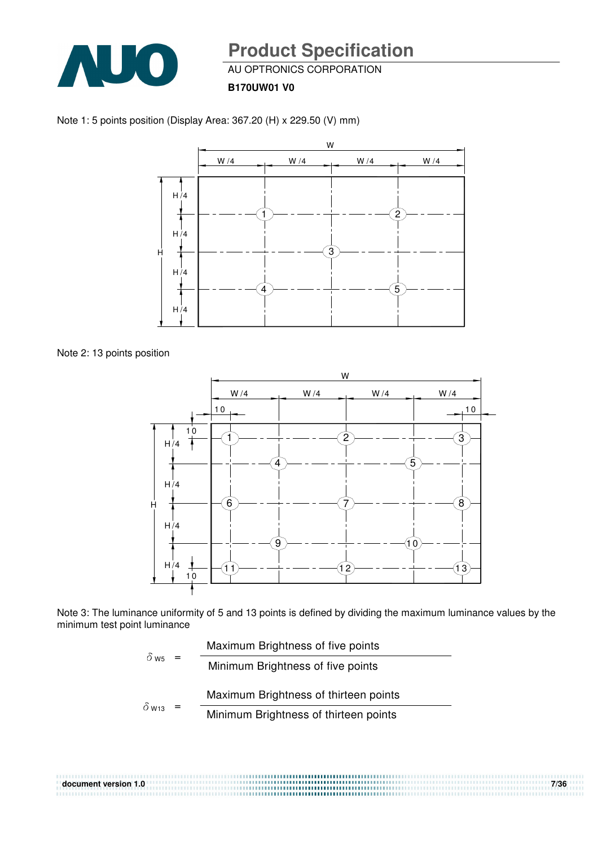

AU OPTRONICS CORPORATION

**B170UW01 V0**



Note 1: 5 points position (Display Area: 367.20 (H) x 229.50 (V) mm)





Note 3: The luminance uniformity of 5 and 13 points is defined by dividing the maximum luminance values by the minimum test point luminance

| $\delta_{\text{W5}}$ =   | Maximum Brightness of five points |                                       |
|--------------------------|-----------------------------------|---------------------------------------|
|                          |                                   | Minimum Brightness of five points     |
|                          |                                   |                                       |
| $\delta$ W <sub>13</sub> |                                   | Maximum Brightness of thirteen points |

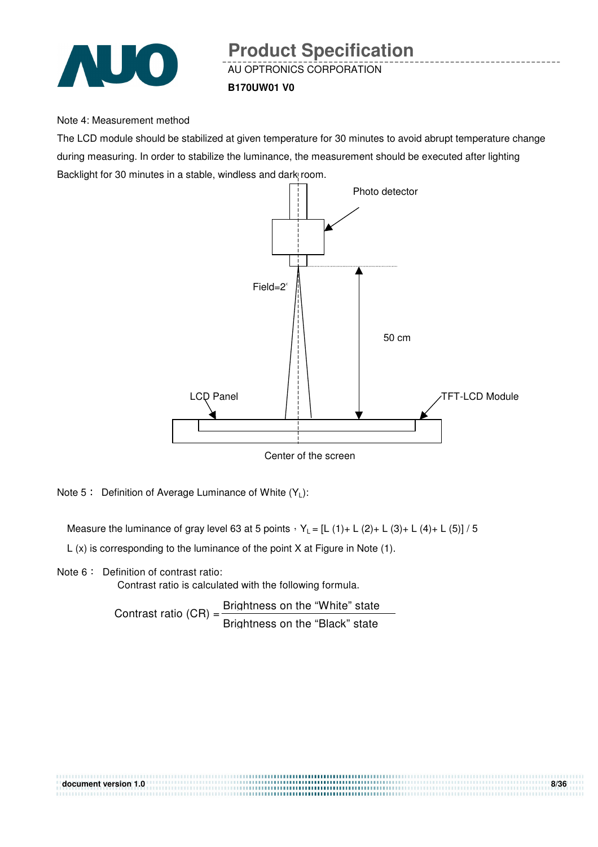

## AU OPTRONICS CORPORATION **Product Specification**

#### **B170UW01 V0**

#### Note 4: Measurement method

The LCD module should be stabilized at given temperature for 30 minutes to avoid abrupt temperature change during measuring. In order to stabilize the luminance, the measurement should be executed after lighting Backlight for 30 minutes in a stable, windless and dark room.



Center of the screen

Note 5: Definition of Average Luminance of White  $(Y_L)$ :

Measure the luminance of gray level 63 at 5 points  $Y_L = [L (1) + L (2) + L (3) + L (4) + L (5)] / 5$ 

L (x) is corresponding to the luminance of the point X at Figure in Note (1).

Note 6: Definition of contrast ratio:

Contrast ratio is calculated with the following formula.

Contrast ratio  $(CR) = \frac{Briahtness \text{ on the "White" state}}{Briahtness}$ Brightness on the "Black" state

| document version 1.0 | 8/36 |
|----------------------|------|
|                      |      |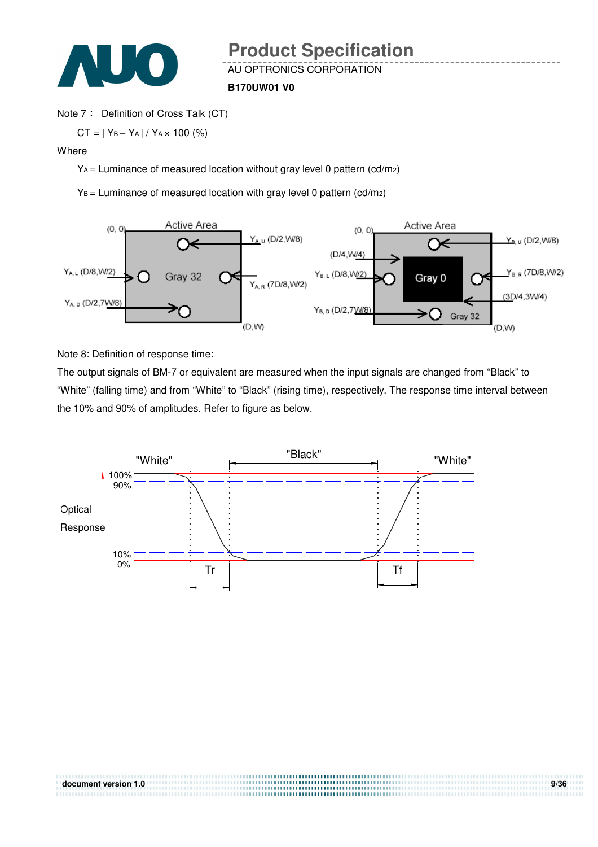

#### **B170UW01 V0**

#### Note 7: Definition of Cross Talk (CT)

 $CT = |Y_B - Y_A| / Y_A \times 100$  (%)

#### Where

YA = Luminance of measured location without gray level 0 pattern (cd/m2)

 $Y_B$  = Luminance of measured location with gray level 0 pattern (cd/m2)



Note 8: Definition of response time:

The output signals of BM-7 or equivalent are measured when the input signals are changed from "Black" to "White" (falling time) and from "White" to "Black" (rising time), respectively. The response time interval between the 10% and 90% of amplitudes. Refer to figure as below.

**document version 1.0 9/36** 

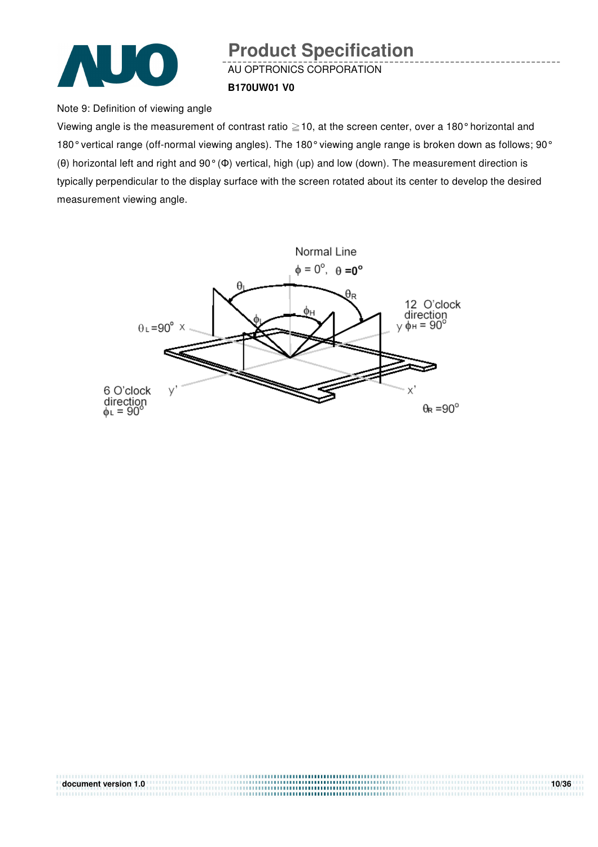

## AU OPTRONICS CORPORATION **Product Specification**

#### **B170UW01 V0**

Note 9: Definition of viewing angle

Viewing angle is the measurement of contrast ratio  $\geq$  10, at the screen center, over a 180 $^{\circ}$  horizontal and 180° vertical range (off-normal viewing angles). The 180° viewing angle range is broken down as follows; 90° (θ) horizontal left and right and 90° (Φ) vertical, high (up) and low (down). The measurement direction is typically perpendicular to the display surface with the screen rotated about its center to develop the desired measurement viewing angle.



| document version 1.0 | 10/36 |
|----------------------|-------|
|                      |       |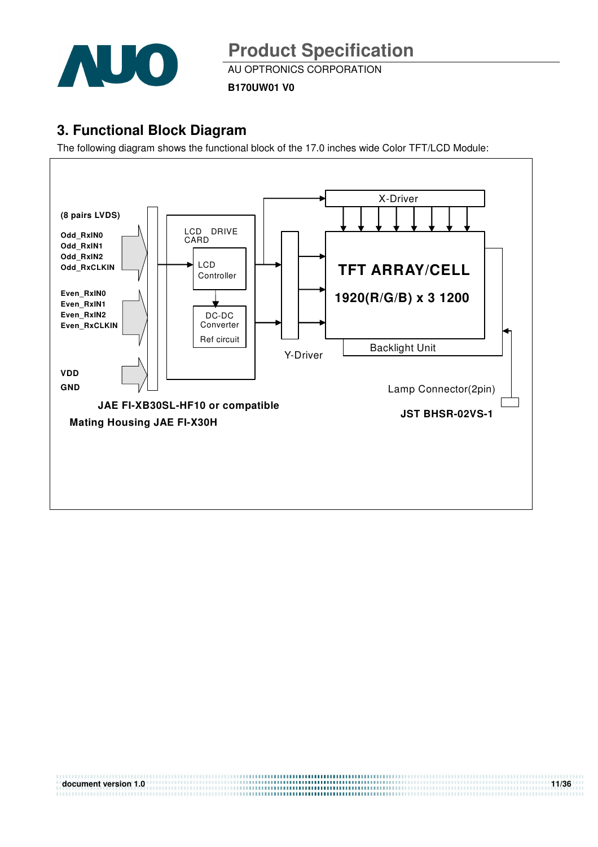

AU OPTRONICS CORPORATION

**B170UW01 V0**

### **3. Functional Block Diagram**

The following diagram shows the functional block of the 17.0 inches wide Color TFT/LCD Module:



**document version 1.0** 11/36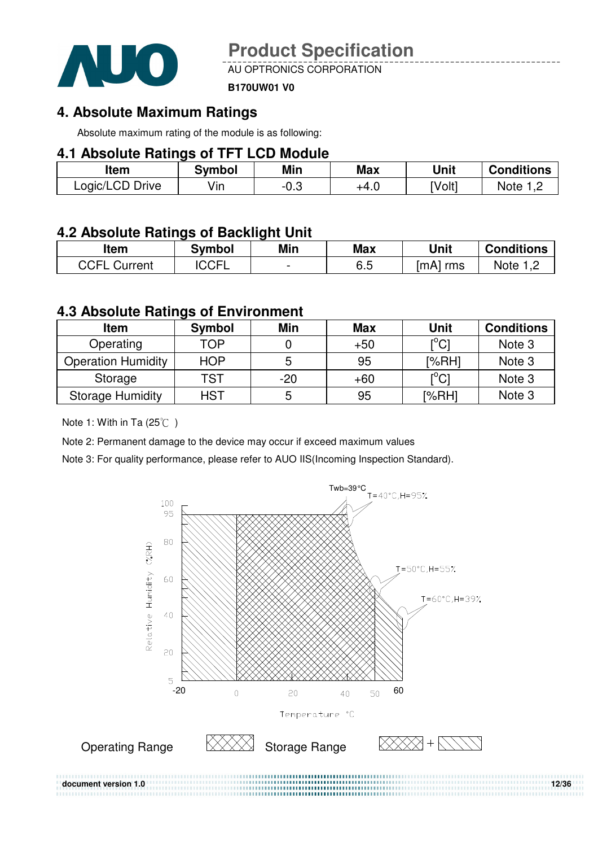

AU OPTRONICS CORPORATION

#### **B170UW01 V0**

### **4. Absolute Maximum Ratings**

Absolute maximum rating of the module is as following:

### **4.1 Absolute Ratings of TFT LCD Module**

| ltem            | <b>Symbol</b> | Min  | Max  | Unit   | <b>Conditions</b>  |
|-----------------|---------------|------|------|--------|--------------------|
| Logic/LCD Drive | Vın           | -v.J | +4.∪ | [Volt] | Note<br>. <u>.</u> |

### **4.2 Absolute Ratings of Backlight Unit**

| ltem            | <b>Symbol</b> | Min                      | Max | Unit        | <b>Conditions</b>    |
|-----------------|---------------|--------------------------|-----|-------------|----------------------|
| CCFI<br>Current | <b>CCFI</b>   | $\overline{\phantom{0}}$ | 6.5 | [mA]<br>rms | Note<br>. . <u>.</u> |

### **4.3 Absolute Ratings of Environment**

| <b>Item</b>               | <b>Symbol</b> | Min   | <b>Max</b> | <b>Unit</b>                             | <b>Conditions</b> |
|---------------------------|---------------|-------|------------|-----------------------------------------|-------------------|
| Operating                 | TOP           |       | $+50$      | $\mathsf{I}^\circ\mathsf{C} \mathsf{I}$ | Note 3            |
| <b>Operation Humidity</b> | <b>HOP</b>    | 5     | 95         | [%RH]                                   | Note 3            |
| Storage                   | TST           | $-20$ | $+60$      | $\mathsf{I}^\circ\mathsf{Cl}$           | Note 3            |
| <b>Storage Humidity</b>   | <b>HST</b>    | 5     | 95         | [%RH]                                   | Note 3            |

### Note 1: With in Ta  $(25^{\circ}\text{C})$

Note 2: Permanent damage to the device may occur if exceed maximum values

Note 3: For quality performance, please refer to AUO IIS(Incoming Inspection Standard).

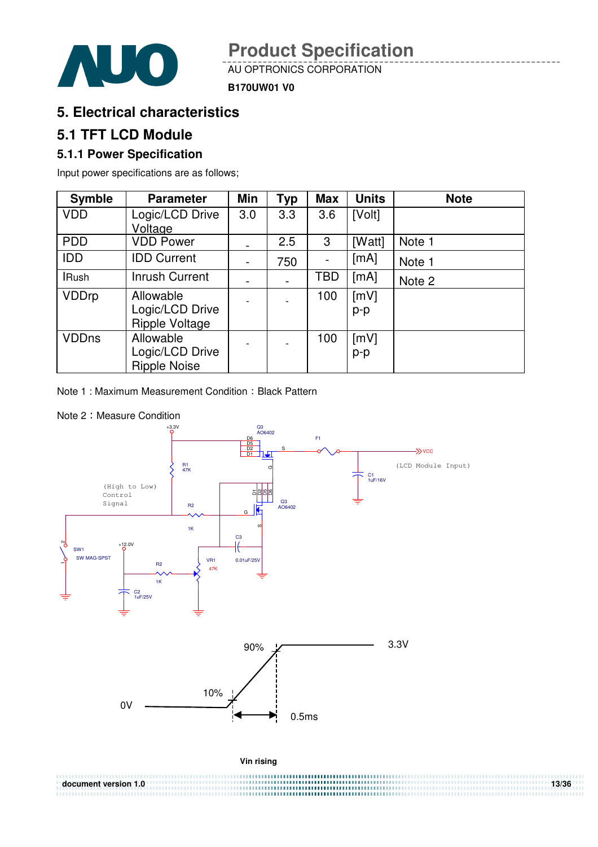

AU OPTRONICS CORPORATION

**B170UW01 V0**

### **5. Electrical characteristics**

### **5.1 TFT LCD Module**

### **5.1.1 Power Specification**

Input power specifications are as follows;

| <b>Symble</b> | <b>Parameter</b>    | Min                      | <b>Typ</b> | <b>Max</b> | <b>Units</b> | <b>Note</b> |
|---------------|---------------------|--------------------------|------------|------------|--------------|-------------|
| <b>VDD</b>    | Logic/LCD Drive     | 3.0                      | 3.3        | 3.6        | [Volt]       |             |
|               | Voltage             |                          |            |            |              |             |
| <b>PDD</b>    | <b>VDD Power</b>    |                          | 2.5        | 3          | [Watt]       | Note 1      |
| <b>IDD</b>    | <b>IDD Current</b>  | $\overline{\phantom{a}}$ | 750        |            | [mA]         | Note 1      |
| <b>IRush</b>  | Inrush Current      |                          |            | TBD        | [mA]         | Note 2      |
| <b>VDDrp</b>  | Allowable           |                          |            | 100        | [mV]         |             |
|               | Logic/LCD Drive     |                          |            |            | p-p          |             |
|               | Ripple Voltage      |                          |            |            |              |             |
| <b>VDDns</b>  | Allowable           |                          |            | 100        | [mV]         |             |
|               | Logic/LCD Drive     |                          |            |            | $p-p$        |             |
|               | <b>Ripple Noise</b> |                          |            |            |              |             |

Note 1: Maximum Measurement Condition: Black Pattern

#### Note 2: Measure Condition



**document version 1.0** 13/36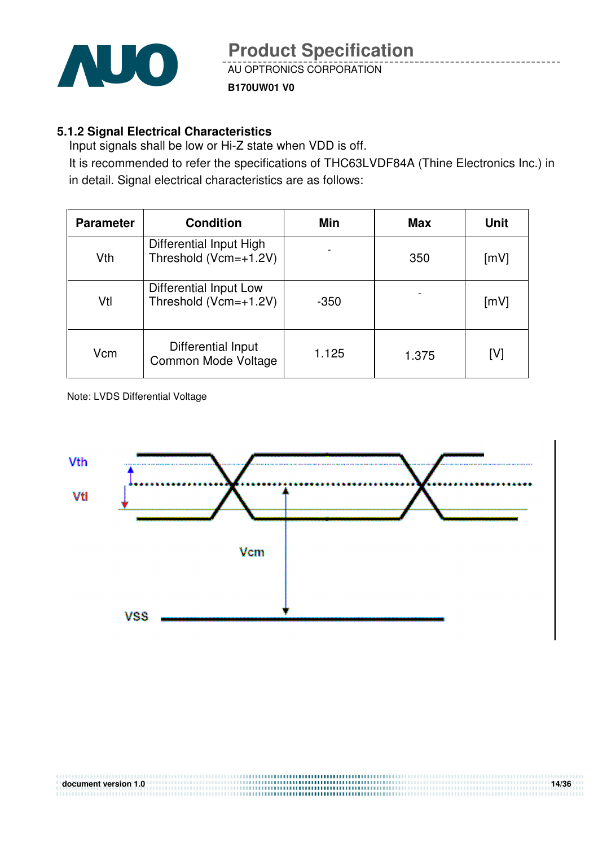

### **B170UW01 V0**

### **5.1.2 Signal Electrical Characteristics**

Input signals shall be low or Hi-Z state when VDD is off.

It is recommended to refer the specifications of THC63LVDF84A (Thine Electronics Inc.) in in detail. Signal electrical characteristics are as follows:

| <b>Parameter</b> | <b>Condition</b>                                    | Min                      | <b>Max</b> | <b>Unit</b> |
|------------------|-----------------------------------------------------|--------------------------|------------|-------------|
| Vth              | Differential Input High<br>Threshold (Vcm=+1.2V)    | $\overline{\phantom{a}}$ | 350        | [mV]        |
| Vtl              | Differential Input Low<br>Threshold ( $Vcm=+1.2V$ ) | $-350$                   |            | [mV]        |
| Vcm              | Differential Input<br>Common Mode Voltage           | 1.125                    | 1.375      | [V]         |

Note: LVDS Differential Voltage

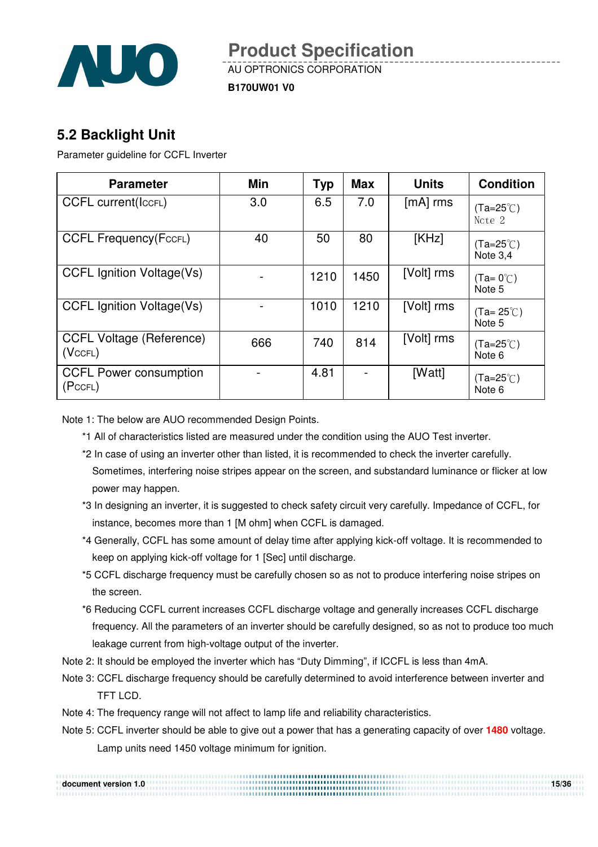

**B170UW01 V0**

## **5.2 Backlight Unit**

Parameter guideline for CCFL Inverter

| <b>Parameter</b>                                       | <b>Min</b> | <b>Typ</b> | <b>Max</b> | <b>Units</b> | <b>Condition</b>             |
|--------------------------------------------------------|------------|------------|------------|--------------|------------------------------|
| <b>CCFL current(IccFL)</b>                             | 3.0        | 6.5        | 7.0        | $[mA]$ rms   | $(Ta=25^{\circ}C)$<br>Note 2 |
| <b>CCFL Frequency(FccFL)</b>                           | 40         | 50         | 80         | [KHz]        | (Ta=25℃)<br>Note 3.4         |
| <b>CCFL Ignition Voltage(Vs)</b>                       |            | 1210       | 1450       | [Volt] rms   | $(Ta=0^{\circ}$<br>Note 5    |
| <b>CCFL Ignition Voltage(Vs)</b>                       |            | 1010       | 1210       | [Volt] rms   | (Ta= 25℃)<br>Note 5          |
| <b>CCFL Voltage (Reference)</b><br>(V <sub>CFL</sub> ) | 666        | 740        | 814        | [Volt] rms   | $(Ta=25^{\circ}C)$<br>Note 6 |
| <b>CCFL Power consumption</b><br>(PccFL)               |            | 4.81       |            | [Watt]       | (Ta=25℃)<br>Note 6           |

Note 1: The below are AUO recommended Design Points.

- \*1 All of characteristics listed are measured under the condition using the AUO Test inverter.
- \*2 In case of using an inverter other than listed, it is recommended to check the inverter carefully. Sometimes, interfering noise stripes appear on the screen, and substandard luminance or flicker at low power may happen.
- \*3 In designing an inverter, it is suggested to check safety circuit very carefully. Impedance of CCFL, for instance, becomes more than 1 [M ohm] when CCFL is damaged.
- \*4 Generally, CCFL has some amount of delay time after applying kick-off voltage. It is recommended to keep on applying kick-off voltage for 1 [Sec] until discharge.
- \*5 CCFL discharge frequency must be carefully chosen so as not to produce interfering noise stripes on the screen.
- \*6 Reducing CCFL current increases CCFL discharge voltage and generally increases CCFL discharge frequency. All the parameters of an inverter should be carefully designed, so as not to produce too much leakage current from high-voltage output of the inverter.
- Note 2: It should be employed the inverter which has "Duty Dimming", if ICCFL is less than 4mA.
- Note 3: CCFL discharge frequency should be carefully determined to avoid interference between inverter and TFT LCD.
- Note 4: The frequency range will not affect to lamp life and reliability characteristics.
- Note 5: CCFL inverter should be able to give out a power that has a generating capacity of over **1480** voltage. Lamp units need 1450 voltage minimum for ignition.

| document version 1.0 | 15/36 |
|----------------------|-------|
|                      |       |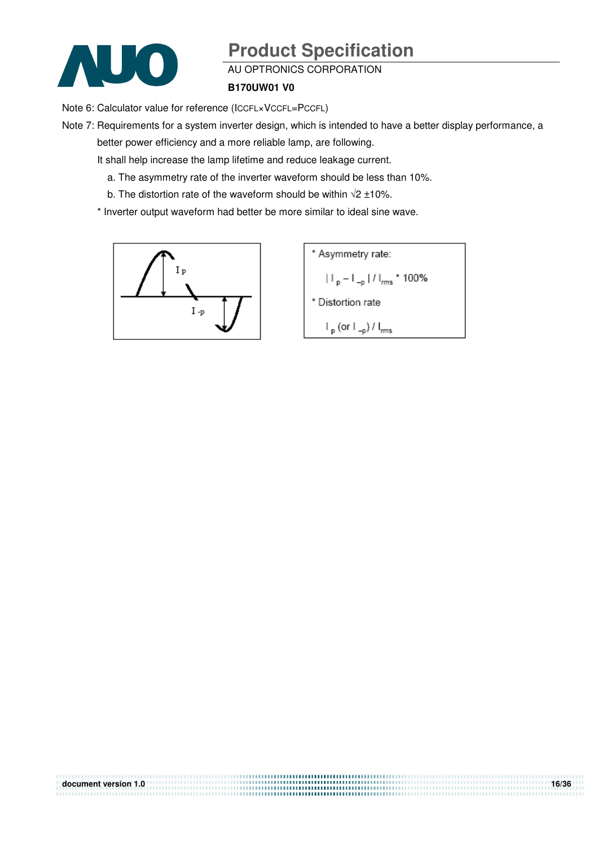

#### AU OPTRONICS CORPORATION

#### **B170UW01 V0**

Note 6: Calculator value for reference (ICCFL×VCCFL=PCCFL)

Note 7: Requirements for a system inverter design, which is intended to have a better display performance, a better power efficiency and a more reliable lamp, are following.

**document version 1.0** 16/36

It shall help increase the lamp lifetime and reduce leakage current.

- a. The asymmetry rate of the inverter waveform should be less than 10%.
- b. The distortion rate of the waveform should be within  $\sqrt{2} \pm 10\%$ .

\* Inverter output waveform had better be more similar to ideal sine wave.



\* Asymmetry rate:  
\n
$$
||\mathbf{p} - \mathbf{I}_{-p}||/|\mathbf{f}_{rms} \times 100\%
$$
\n\* Distortion rate  
\n
$$
|\mathbf{p}(\text{or } \mathbf{I}_{-p})/|\mathbf{f}_{rms}|
$$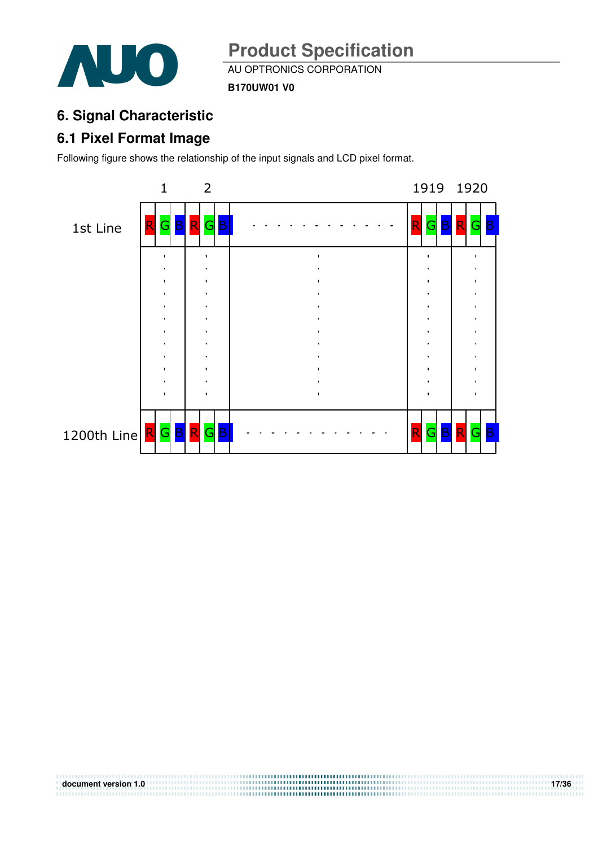

AU OPTRONICS CORPORATION

**B170UW01 V0**

## **6. Signal Characteristic**

## **6.1 Pixel Format Image**

Following figure shows the relationship of the input signals and LCD pixel format.



**document version 1.0** 17/36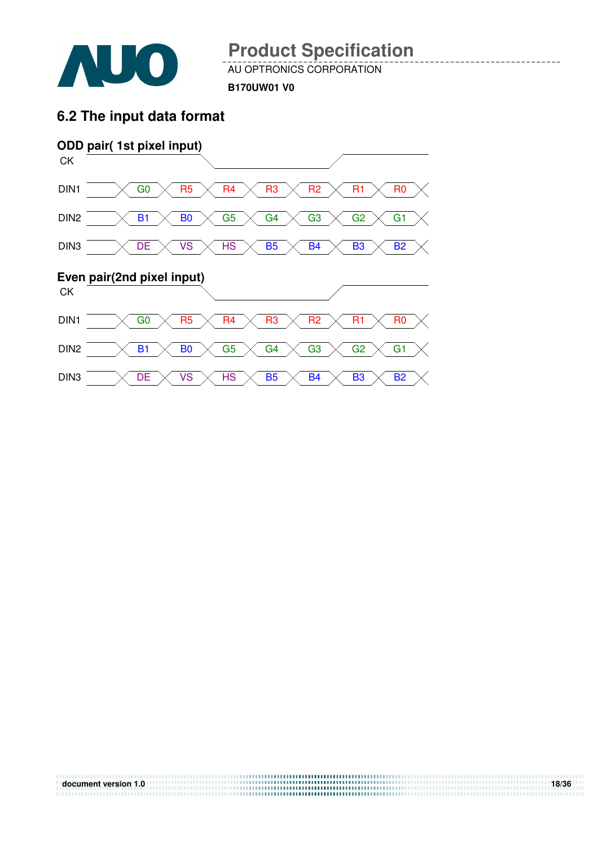

**document version 1.0** 18/36

AU OPTRONICS CORPORATION

**B170UW01 V0**

### **6.2 The input data format**

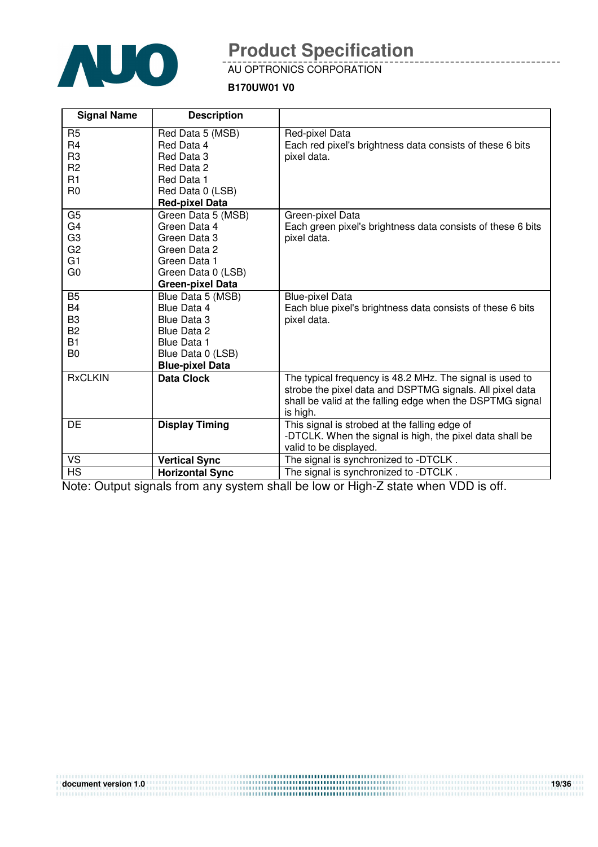

### AU OPTRONICS CORPORATION

### **B170UW01 V0**

| <b>Signal Name</b>                                                                           | <b>Description</b>                                                                                                                                |                                                                                                                                                                                               |
|----------------------------------------------------------------------------------------------|---------------------------------------------------------------------------------------------------------------------------------------------------|-----------------------------------------------------------------------------------------------------------------------------------------------------------------------------------------------|
| R <sub>5</sub><br>R <sub>4</sub><br>R <sub>3</sub><br>R <sub>2</sub><br>R1<br>R <sub>0</sub> | Red Data 5 (MSB)<br>Red Data 4<br>Red Data 3<br>Red Data 2<br>Red Data 1<br>Red Data 0 (LSB)<br><b>Red-pixel Data</b>                             | Red-pixel Data<br>Each red pixel's brightness data consists of these 6 bits<br>pixel data.                                                                                                    |
| G <sub>5</sub><br>G4<br>G <sub>3</sub><br>G <sub>2</sub><br>G <sub>1</sub><br>G <sub>0</sub> | Green Data 5 (MSB)<br>Green Data 4<br>Green Data 3<br>Green Data 2<br>Green Data 1<br>Green Data 0 (LSB)<br><b>Green-pixel Data</b>               | Green-pixel Data<br>Each green pixel's brightness data consists of these 6 bits<br>pixel data.                                                                                                |
| <b>B5</b><br>B4<br>B <sub>3</sub><br><b>B2</b><br><b>B1</b><br>B <sub>0</sub>                | Blue Data 5 (MSB)<br>Blue Data 4<br><b>Blue Data 3</b><br><b>Blue Data 2</b><br><b>Blue Data 1</b><br>Blue Data 0 (LSB)<br><b>Blue-pixel Data</b> | <b>Blue-pixel Data</b><br>Each blue pixel's brightness data consists of these 6 bits<br>pixel data.                                                                                           |
| <b>RxCLKIN</b>                                                                               | <b>Data Clock</b>                                                                                                                                 | The typical frequency is 48.2 MHz. The signal is used to<br>strobe the pixel data and DSPTMG signals. All pixel data<br>shall be valid at the falling edge when the DSPTMG signal<br>is high. |
| DE                                                                                           | <b>Display Timing</b>                                                                                                                             | This signal is strobed at the falling edge of<br>-DTCLK. When the signal is high, the pixel data shall be<br>valid to be displayed.                                                           |
| VS                                                                                           | <b>Vertical Sync</b>                                                                                                                              | The signal is synchronized to -DTCLK.                                                                                                                                                         |
| <b>HS</b>                                                                                    | <b>Horizontal Sync</b>                                                                                                                            | The signal is synchronized to -DTCLK.                                                                                                                                                         |

Note: Output signals from any system shall be low or High-Z state when VDD is off.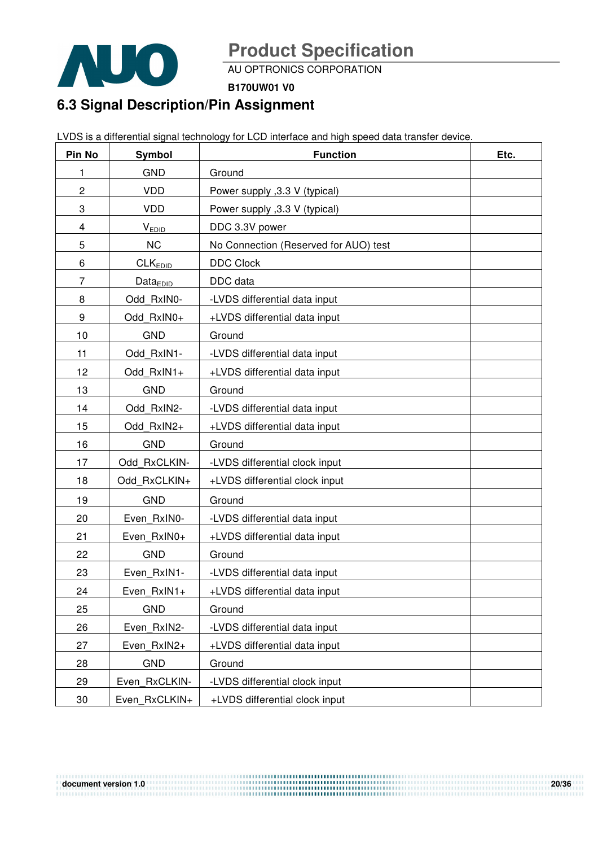

AU OPTRONICS CORPORATION

**B170UW01 V0**

## **6.3 Signal Description/Pin Assignment**

LVDS is a differential signal technology for LCD interface and high speed data transfer device.

| Pin No | <b>Symbol</b>        | <b>Function</b>                       | Etc. |
|--------|----------------------|---------------------------------------|------|
| 1      | <b>GND</b>           | Ground                                |      |
| 2      | <b>VDD</b>           | Power supply , 3.3 V (typical)        |      |
| 3      | <b>VDD</b>           | Power supply , 3.3 V (typical)        |      |
| 4      | <b>VEDID</b>         | DDC 3.3V power                        |      |
| 5      | <b>NC</b>            | No Connection (Reserved for AUO) test |      |
| 6      | CLK <sub>EDID</sub>  | <b>DDC Clock</b>                      |      |
| 7      | Data <sub>EDID</sub> | DDC data                              |      |
| 8      | Odd RxIN0-           | -LVDS differential data input         |      |
| 9      | Odd RxIN0+           | +LVDS differential data input         |      |
| 10     | <b>GND</b>           | Ground                                |      |
| 11     | Odd RxIN1-           | -LVDS differential data input         |      |
| 12     | Odd RxIN1+           | +LVDS differential data input         |      |
| 13     | <b>GND</b>           | Ground                                |      |
| 14     | Odd RxIN2-           | -LVDS differential data input         |      |
| 15     | Odd RxIN2+           | +LVDS differential data input         |      |
| 16     | <b>GND</b>           | Ground                                |      |
| 17     | Odd RxCLKIN-         | -LVDS differential clock input        |      |
| 18     | Odd_RxCLKIN+         | +LVDS differential clock input        |      |
| 19     | <b>GND</b>           | Ground                                |      |
| 20     | Even RxIN0-          | -LVDS differential data input         |      |
| 21     | Even RxIN0+          | +LVDS differential data input         |      |
| 22     | <b>GND</b>           | Ground                                |      |
| 23     | Even RxIN1-          | -LVDS differential data input         |      |
| 24     | Even RxIN1+          | +LVDS differential data input         |      |
| 25     | <b>GND</b>           | Ground                                |      |
| 26     | Even RxIN2-          | -LVDS differential data input         |      |
| 27     | Even RxIN2+          | +LVDS differential data input         |      |
| 28     | <b>GND</b>           | Ground                                |      |
| 29     | Even RxCLKIN-        | -LVDS differential clock input        |      |
| 30     | Even RxCLKIN+        | +LVDS differential clock input        |      |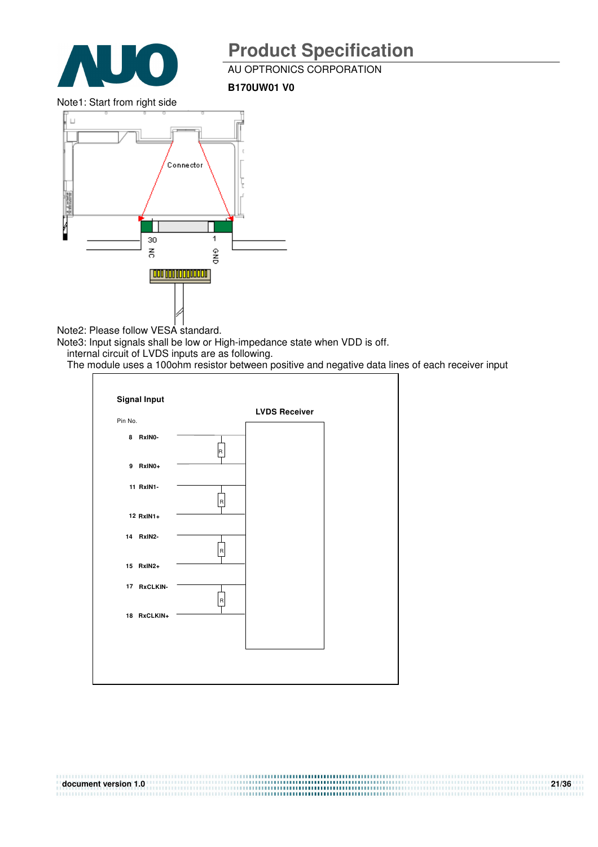

AU OPTRONICS CORPORATION

**B170UW01 V0**

Note1: Start from right side



Note2: Please follow VESA standard.

Note3: Input signals shall be low or High-impedance state when VDD is off.

internal circuit of LVDS inputs are as following.

The module uses a 100ohm resistor between positive and negative data lines of each receiver input

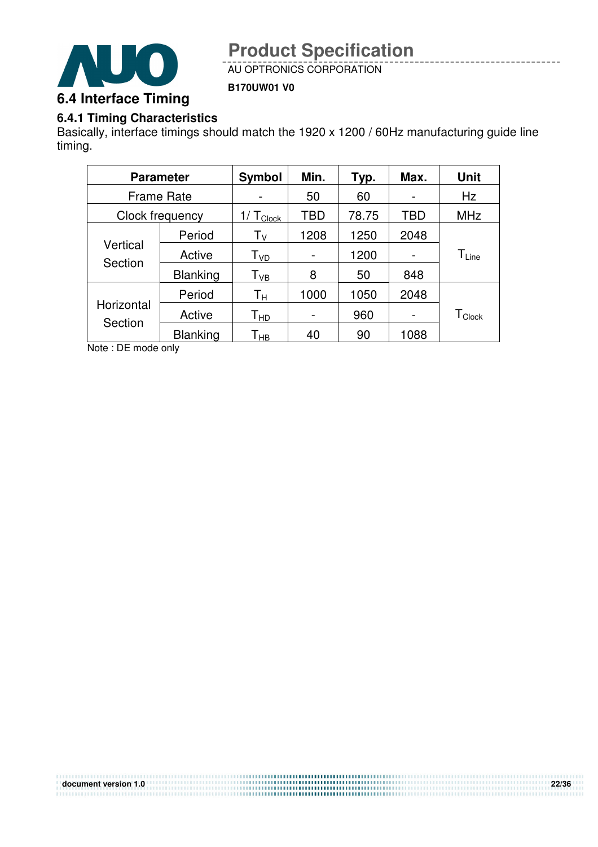

AU OPTRONICS CORPORATION

**B170UW01 V0**

### **6.4.1 Timing Characteristics**

Basically, interface timings should match the 1920 x 1200 / 60Hz manufacturing guide line timing.

|            | <b>Parameter</b>  | <b>Symbol</b>      | Min.       | Typ.  | Max.           | <b>Unit</b>                  |
|------------|-------------------|--------------------|------------|-------|----------------|------------------------------|
|            | <b>Frame Rate</b> |                    | 50         | 60    |                | Hz                           |
|            | Clock frequency   | $T_{\text{Clock}}$ | <b>TBD</b> | 78.75 | TBD            | <b>MHz</b>                   |
|            | Period            | Τ <sub>ν</sub>     | 1208       | 1250  | 2048           |                              |
| Vertical   | Active            | T <sub>VD</sub>    |            | 1200  |                | $\mathsf{T}_{\mathsf{Line}}$ |
| Section    | <b>Blanking</b>   | Т <sub>vв</sub>    | 8          | 50    | 848            |                              |
|            | Period            | Тн                 | 1000       | 1050  | 2048           |                              |
| Horizontal | Active            | $T_{HD}$           |            | 960   | $\blacksquare$ | $T_{\mathsf{Clock}}$         |
| Section    | <b>Blanking</b>   | Т <sub>нв</sub>    | 40         | 90    | 1088           |                              |

Note : DE mode only

| document version 1.0 | 22/36 |
|----------------------|-------|
|                      |       |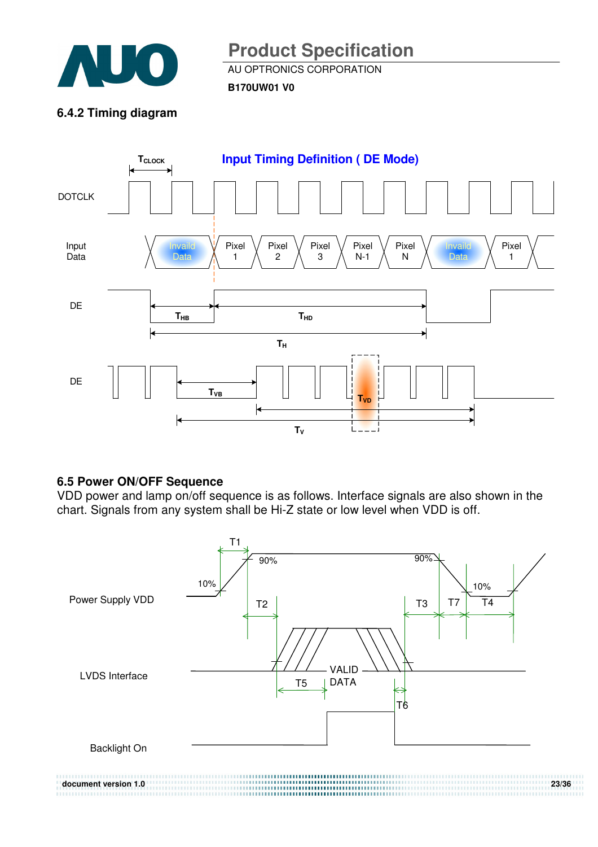

AU OPTRONICS CORPORATION

**B170UW01 V0**

### **6.4.2 Timing diagram**



### **6.5 Power ON/OFF Sequence**

VDD power and lamp on/off sequence is as follows. Interface signals are also shown in the chart. Signals from any system shall be Hi-Z state or low level when VDD is off.

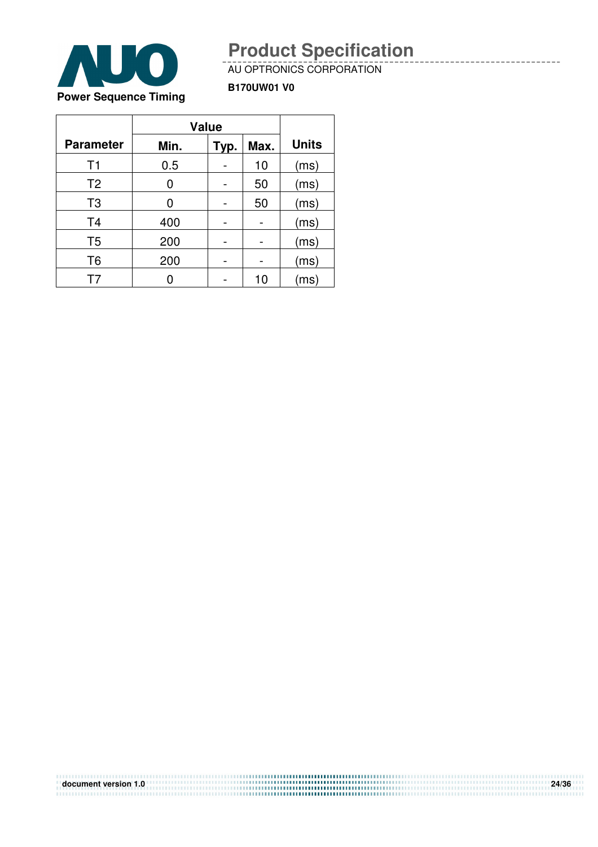

#### AU OPTRONICS CORPORATION

**B170UW01 V0**

|                  | <b>Value</b> |      |      |                         |
|------------------|--------------|------|------|-------------------------|
| <b>Parameter</b> | Min.         | Typ. | Max. | <b>Units</b>            |
| T <sub>1</sub>   | 0.5          |      | 10   | (ms)                    |
| T <sub>2</sub>   | 0            |      | 50   | (ms)                    |
| T <sub>3</sub>   | O            |      | 50   | (ms)                    |
| T <sub>4</sub>   | 400          |      |      | (ms)                    |
| T <sub>5</sub>   | 200          |      |      | (ms)                    |
| T <sub>6</sub>   | 200          |      |      | (ms)                    |
| T7               |              |      | 10   | $\mathsf{ms}\mathsf{I}$ |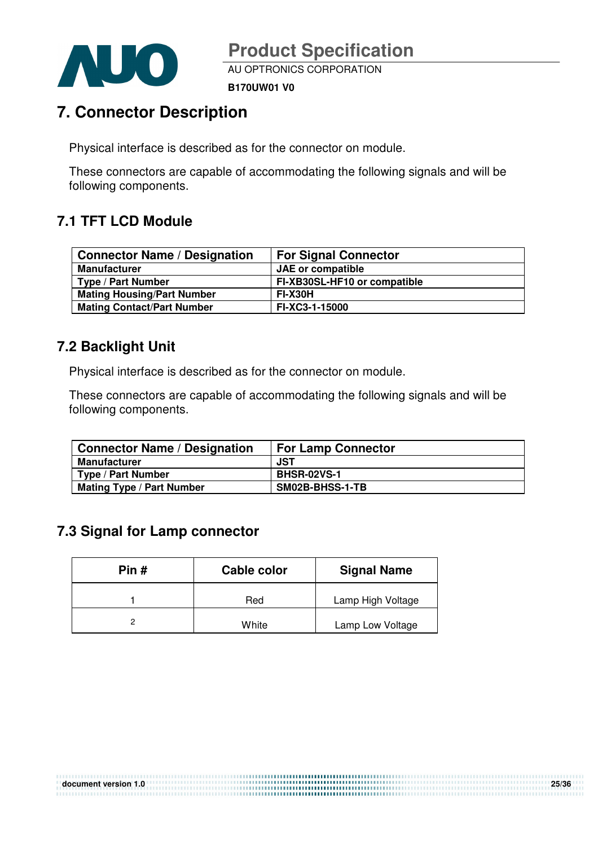

AU OPTRONICS CORPORATION

**B170UW01 V0**

## **7. Connector Description**

Physical interface is described as for the connector on module.

These connectors are capable of accommodating the following signals and will be following components.

## **7.1 TFT LCD Module**

| <b>Connector Name / Designation</b> | <b>For Signal Connector</b>  |
|-------------------------------------|------------------------------|
| <b>Manufacturer</b>                 | <b>JAE</b> or compatible     |
| Type / Part Number                  | FI-XB30SL-HF10 or compatible |
| <b>Mating Housing/Part Number</b>   | <b>FI-X30H</b>               |
| <b>Mating Contact/Part Number</b>   | FI-XC3-1-15000               |

### **7.2 Backlight Unit**

Physical interface is described as for the connector on module.

These connectors are capable of accommodating the following signals and will be following components.

| <b>Connector Name / Designation</b> | <b>For Lamp Connector</b> |
|-------------------------------------|---------------------------|
| <b>Manufacturer</b>                 | JST                       |
| <b>Type / Part Number</b>           | <b>BHSR-02VS-1</b>        |
| <b>Mating Type / Part Number</b>    | SM02B-BHSS-1-TB           |

### **7.3 Signal for Lamp connector**

| Pin# | Cable color | <b>Signal Name</b> |  |  |
|------|-------------|--------------------|--|--|
|      | Red         | Lamp High Voltage  |  |  |
|      | White       | Lamp Low Voltage   |  |  |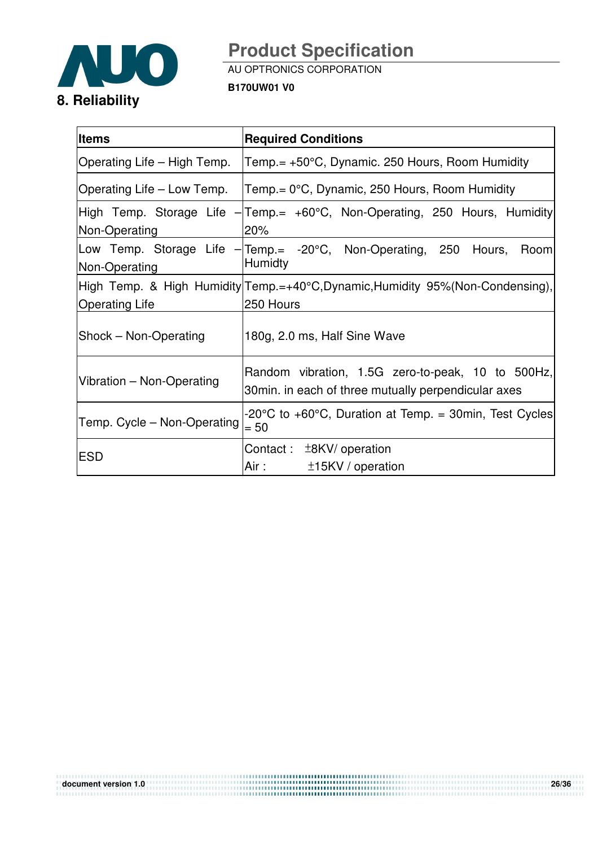

AU OPTRONICS CORPORATION

**B170UW01 V0**

| <b>Items</b>                | <b>Required Conditions</b>                                                                                                                                          |  |  |  |  |
|-----------------------------|---------------------------------------------------------------------------------------------------------------------------------------------------------------------|--|--|--|--|
| Operating Life – High Temp. | Temp.= +50°C, Dynamic. 250 Hours, Room Humidity                                                                                                                     |  |  |  |  |
| Operating Life – Low Temp.  | $Term = 0^{\circ}C$ , Dynamic, 250 Hours, Room Humidity                                                                                                             |  |  |  |  |
| Non-Operating               | High Temp. Storage Life - Temp.= +60°C, Non-Operating, 250 Hours, Humidity<br>20%                                                                                   |  |  |  |  |
| Non-Operating               | Low Temp. Storage Life - Temp.= -20°C, Non-Operating, 250<br>Hours,<br>Room<br><b>Humidty</b>                                                                       |  |  |  |  |
| <b>Operating Life</b>       | High Temp. & High Humidity Temp.=+40°C, Dynamic, Humidity 95% (Non-Condensing),<br>250 Hours                                                                        |  |  |  |  |
| Shock - Non-Operating       | 180g, 2.0 ms, Half Sine Wave                                                                                                                                        |  |  |  |  |
| Vibration - Non-Operating   | Random vibration, 1.5G zero-to-peak, 10 to 500Hz,<br>30 min. in each of three mutually perpendicular axes                                                           |  |  |  |  |
| Temp. Cycle – Non-Operating | -20°C to +60°C, Duration at Temp. = 30min, Test Cycles<br>$= 50$                                                                                                    |  |  |  |  |
| <b>ESD</b>                  | Contact: $±8KV/$ operation<br>Air : The Marine State of the Second State of the Second State of the Second State of the Second State of the S<br>$±15KV/$ operation |  |  |  |  |

**document version 1.0 26/36**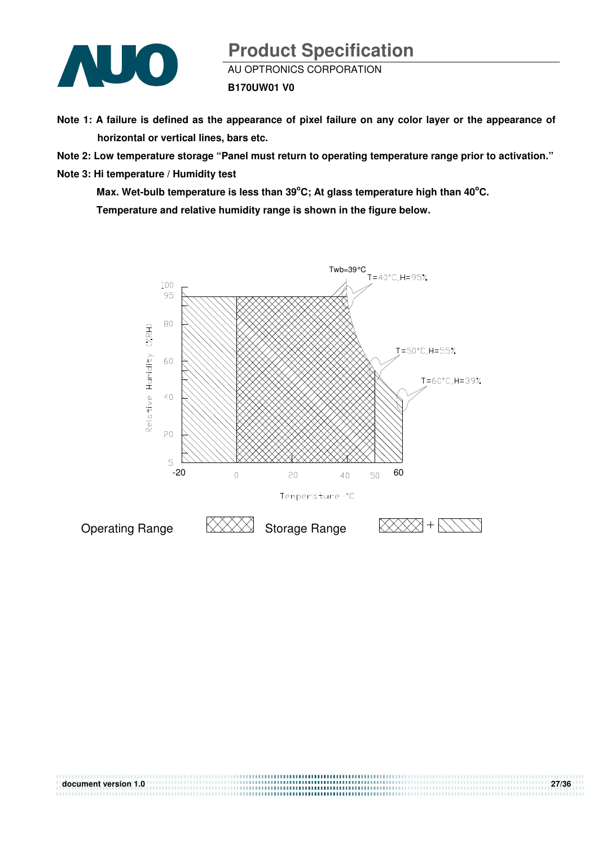

- **Note 1: A failure is defined as the appearance of pixel failure on any color layer or the appearance of horizontal or vertical lines, bars etc.**
- **Note 2: Low temperature storage "Panel must return to operating temperature range prior to activation."**
- **Note 3: Hi temperature / Humidity test**

Max. Wet-bulb temperature is less than 39<sup>°</sup>C; At glass temperature high than 40<sup>°</sup>C. **Temperature and relative humidity range is shown in the figure below.** 



| document version 1.0 | 27/36 |
|----------------------|-------|
|                      |       |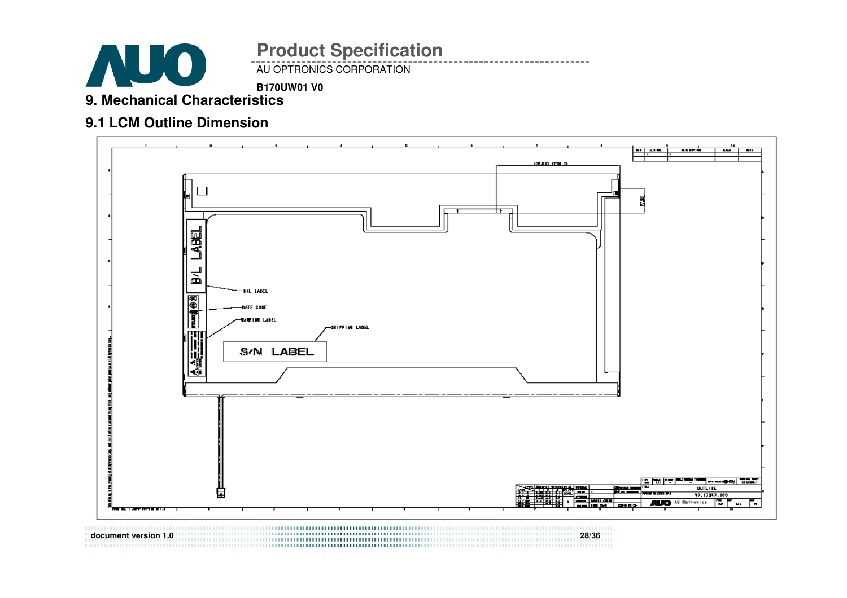

AU OPTRONICS CORPORATION **Product Specification** 

### **B170UW01 V0**

**9. Mechanical Characteristics** 

### **9.1 LCM Outline Dimension**



**document version 1.0 28/36**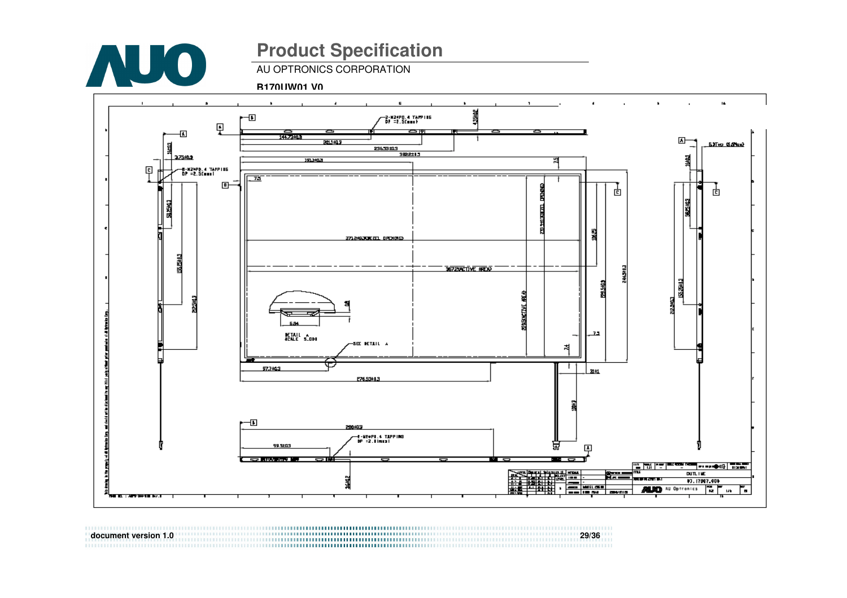

AU OPTRONICS CORPORATION

**B170UW01 V0**



**document version 1.0 29/36**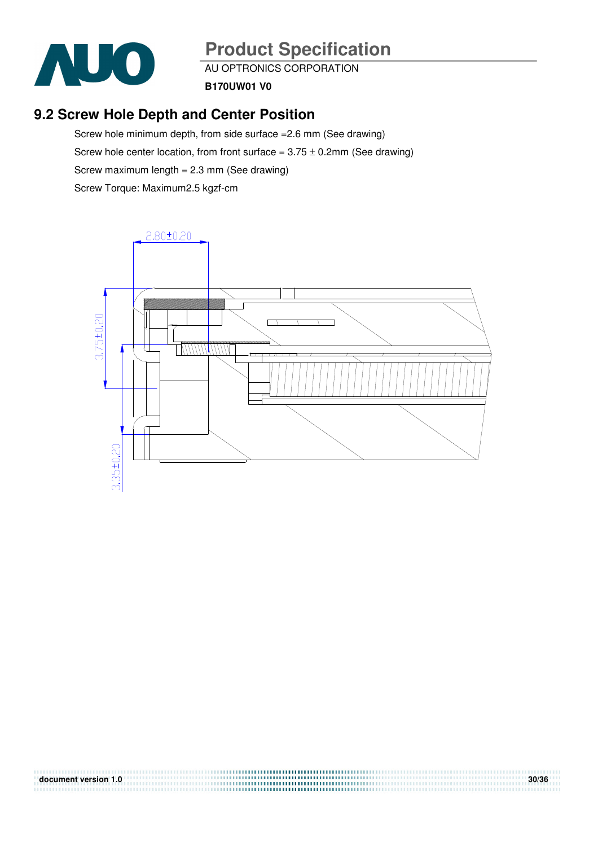

AU OPTRONICS CORPORATION

**B170UW01 V0**

### **9.2 Screw Hole Depth and Center Position**

Screw hole minimum depth, from side surface =2.6 mm (See drawing) Screw hole center location, from front surface =  $3.75 \pm 0.2$ mm (See drawing) Screw maximum length = 2.3 mm (See drawing) Screw Torque: Maximum2.5 kgzf-cm



**document version 1.0** 30/36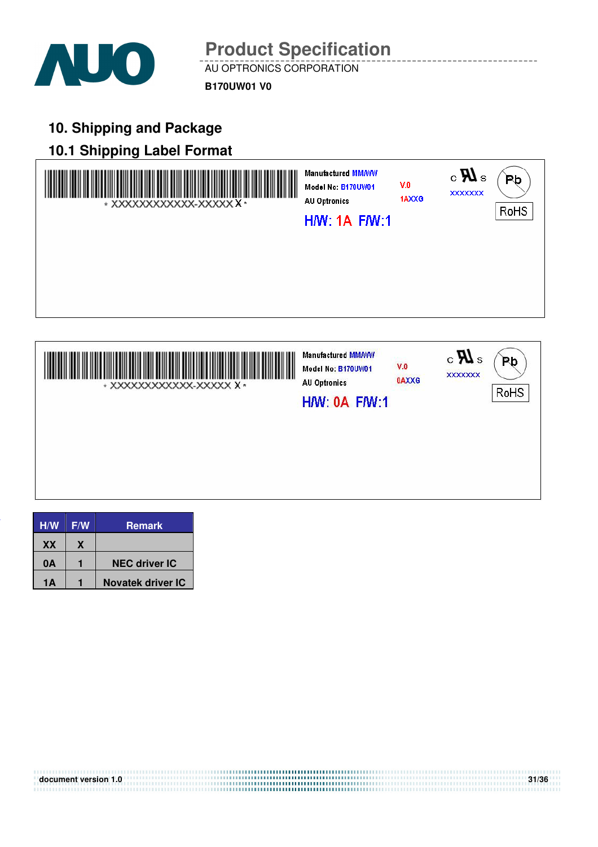

AU OPTRONICS CORPORATION **Product Specification** 

**B170UW01 V0**

## **10. Shipping and Package**

## **10.1 Shipping Label Format**





| H/W | F/W | Remark               |
|-----|-----|----------------------|
| XX  | X   |                      |
| 0A  |     | <b>NEC driver IC</b> |
| 1Δ  |     | Novatek driver IC    |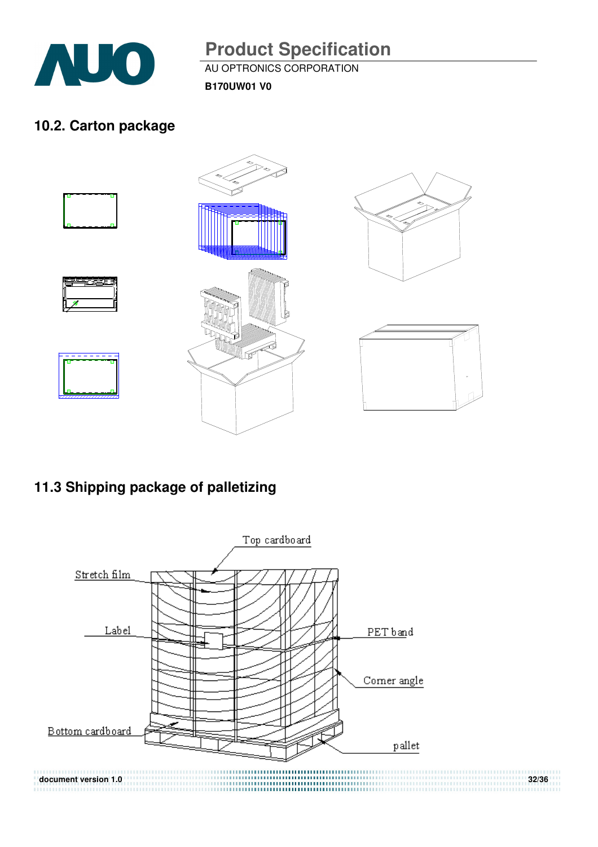

AU OPTRONICS CORPORATION

**B170UW01 V0**

## **10.2. Carton package**



## **11.3 Shipping package of palletizing**

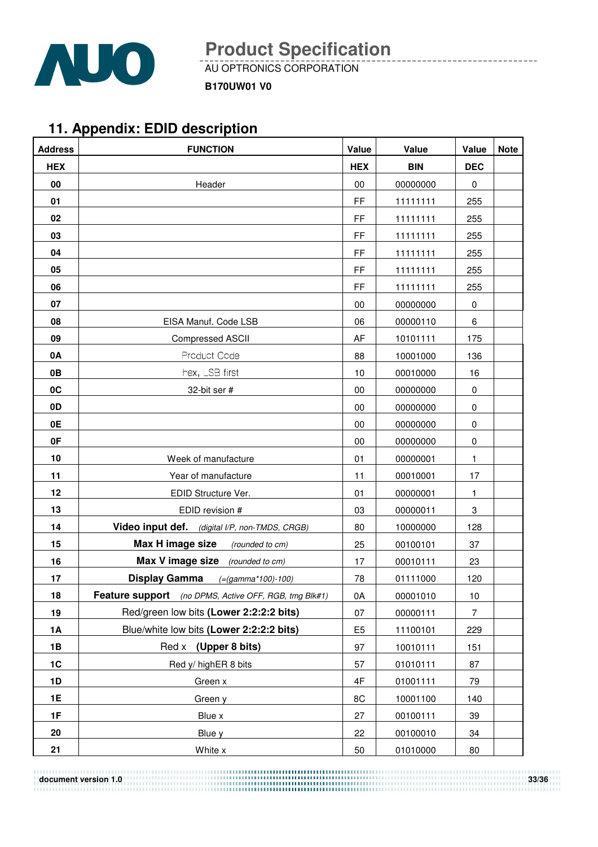

AU OPTRONICS CORPORATION

**B170UW01 V0**

## **11. Appendix: EDID description**

| <b>Address</b> | <b>FUNCTION</b>                                       | Value          | Value      | Value        | <b>Note</b> |
|----------------|-------------------------------------------------------|----------------|------------|--------------|-------------|
| <b>HEX</b>     |                                                       | <b>HEX</b>     | <b>BIN</b> | <b>DEC</b>   |             |
| 00             | Header                                                | 00             | 00000000   | 0            |             |
| 01             |                                                       | FF             | 11111111   | 255          |             |
| 02             |                                                       | FF             | 11111111   | 255          |             |
| 03             |                                                       | FF             | 11111111   | 255          |             |
| 04             |                                                       | FF             | 11111111   | 255          |             |
| 05             |                                                       | FF             | 11111111   | 255          |             |
| 06             |                                                       | FF             | 11111111   | 255          |             |
| 07             |                                                       | 00             | 00000000   | 0            |             |
| 08             | EISA Manuf. Code LSB                                  | 06             | 00000110   | 6            |             |
| 09             | Compressed ASCII                                      | AF             | 10101111   | 175          |             |
| 0A             | Product Code                                          | 88             | 10001000   | 136          |             |
| 0B             | hex, LSB first                                        | 10             | 00010000   | 16           |             |
| 0C             | 32-bit ser #                                          | 00             | 00000000   | 0            |             |
| 0 <sub>D</sub> |                                                       | 00             | 00000000   | $\pmb{0}$    |             |
| 0E             |                                                       | 00             | 00000000   | $\pmb{0}$    |             |
| 0F             |                                                       | 00             | 00000000   | $\pmb{0}$    |             |
| 10             | Week of manufacture                                   | 01             | 00000001   | 1            |             |
| 11             | Year of manufacture                                   | 11             | 00010001   | 17           |             |
| 12             | EDID Structure Ver.                                   | 01             | 00000001   | $\mathbf{1}$ |             |
| 13             | EDID revision #                                       | 03             | 00000011   | 3            |             |
| 14             | Video input def. (digital I/P, non-TMDS, CRGB)        | 80             | 10000000   | 128          |             |
| 15             | Max H image size<br>(rounded to cm)                   | 25             | 00100101   | 37           |             |
| 16             | <b>Max V image size</b> (rounded to cm)               | 17             | 00010111   | 23           |             |
| 17             | <b>Display Gamma</b><br>$(=(gamma*100)-100)$          | 78             | 01111000   | 120          |             |
| 18             | Feature support (no DPMS, Active OFF, RGB, tmg Blk#1) | 0A             | 00001010   | 10           |             |
| 19             | Red/green low bits (Lower 2:2:2:2 bits)               | 07             | 00000111   | 7            |             |
| <b>1A</b>      | Blue/white low bits (Lower 2:2:2:2 bits)              | E <sub>5</sub> | 11100101   | 229          |             |
| 1B             | Red x (Upper 8 bits)                                  | 97             | 10010111   | 151          |             |
| 1C             | Red y/ highER 8 bits                                  | 57             | 01010111   | 87           |             |
| 1D             | Green x                                               | 4F             | 01001111   | 79           |             |
| 1E             | Green y                                               | 8C             | 10001100   | 140          |             |
| 1F             | Blue x                                                | 27             | 00100111   | 39           |             |
| 20             | Blue y                                                | 22             | 00100010   | 34           |             |
| 21             | White x                                               | 50             | 01010000   | 80           |             |

**document version 1.0** 33/36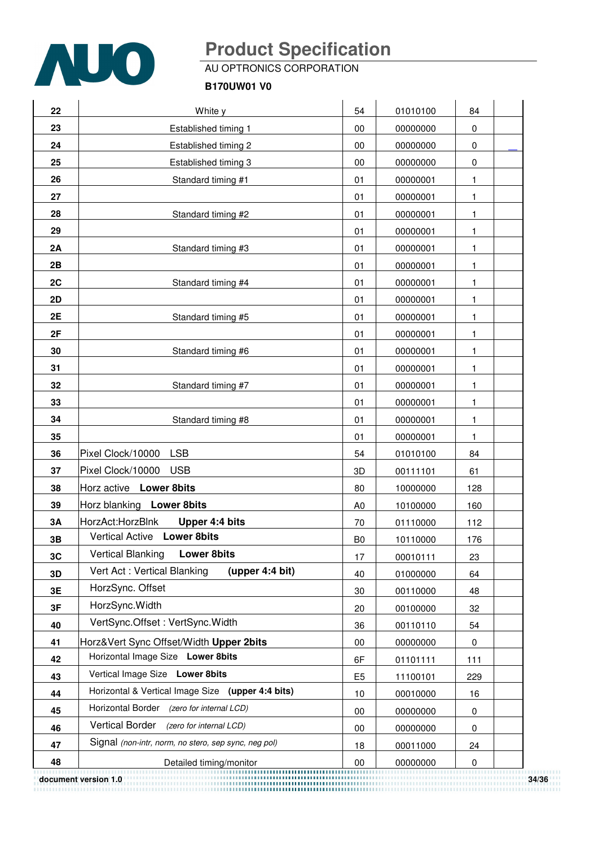

AU OPTRONICS CORPORATION

#### **B170UW01 V0**

| 22 | White y                                              | 54             | 01010100 | 84  |
|----|------------------------------------------------------|----------------|----------|-----|
| 23 | Established timing 1                                 | 00             | 00000000 | 0   |
| 24 | Established timing 2                                 | 00             | 00000000 | 0   |
| 25 | Established timing 3                                 | 00             | 00000000 | 0   |
| 26 | Standard timing #1                                   | 01             | 00000001 | 1   |
| 27 |                                                      | 01             | 00000001 | 1   |
| 28 | Standard timing #2                                   | 01             | 00000001 | 1   |
| 29 |                                                      | 01             | 00000001 | 1   |
| 2A | Standard timing #3                                   | 01             | 00000001 | 1   |
| 2B |                                                      | 01             | 00000001 | 1   |
| 2C | Standard timing #4                                   | 01             | 00000001 | 1   |
| 2D |                                                      | 01             | 00000001 | 1   |
| 2E | Standard timing #5                                   | 01             | 00000001 | 1   |
| 2F |                                                      | 01             | 00000001 | 1   |
| 30 | Standard timing #6                                   | 01             | 00000001 | 1   |
| 31 |                                                      | 01             | 00000001 | 1   |
| 32 | Standard timing #7                                   | 01             | 00000001 | 1   |
| 33 |                                                      | 01             | 00000001 | 1   |
| 34 | Standard timing #8                                   | 01             | 00000001 | 1   |
| 35 |                                                      | 01             | 00000001 | 1   |
| 36 | Pixel Clock/10000<br><b>LSB</b>                      | 54             | 01010100 | 84  |
| 37 | Pixel Clock/10000<br><b>USB</b>                      | 3D             | 00111101 | 61  |
| 38 | Horz active Lower 8bits                              | 80             | 10000000 | 128 |
| 39 | Horz blanking Lower 8bits                            | A <sub>0</sub> | 10100000 | 160 |
| 3A | HorzAct:HorzBlnk<br>Upper 4:4 bits                   | 70             | 01110000 | 112 |
| 3B | Vertical Active Lower 8bits                          | B <sub>0</sub> | 10110000 | 176 |
| 3C | <b>Vertical Blanking</b><br><b>Lower 8bits</b>       | 17             | 00010111 | 23  |
| 3D | Vert Act: Vertical Blanking<br>(upper 4:4 bit)       | 40             | 01000000 | 64  |
| 3E | HorzSync. Offset                                     | 30             | 00110000 | 48  |
| 3F | HorzSync. Width                                      | 20             | 00100000 | 32  |
| 40 | VertSync.Offset: VertSync.Width                      | 36             | 00110110 | 54  |
| 41 | Horz‖ Sync Offset/Width Upper 2bits                  | 00             | 00000000 | 0   |
| 42 | Horizontal Image Size Lower 8bits                    | 6F             | 01101111 | 111 |
| 43 | Vertical Image Size Lower 8bits                      | E <sub>5</sub> | 11100101 | 229 |
| 44 | Horizontal & Vertical Image Size (upper 4:4 bits)    | 10             | 00010000 | 16  |
| 45 | Horizontal Border (zero for internal LCD)            | 00             | 00000000 | 0   |
| 46 | <b>Vertical Border</b><br>(zero for internal LCD)    | 00             | 00000000 | 0   |
| 47 | Signal (non-intr, norm, no stero, sep sync, neg pol) | 18             | 00011000 | 24  |
| 48 | Detailed timing/monitor                              | $00\,$         | 00000000 | 0   |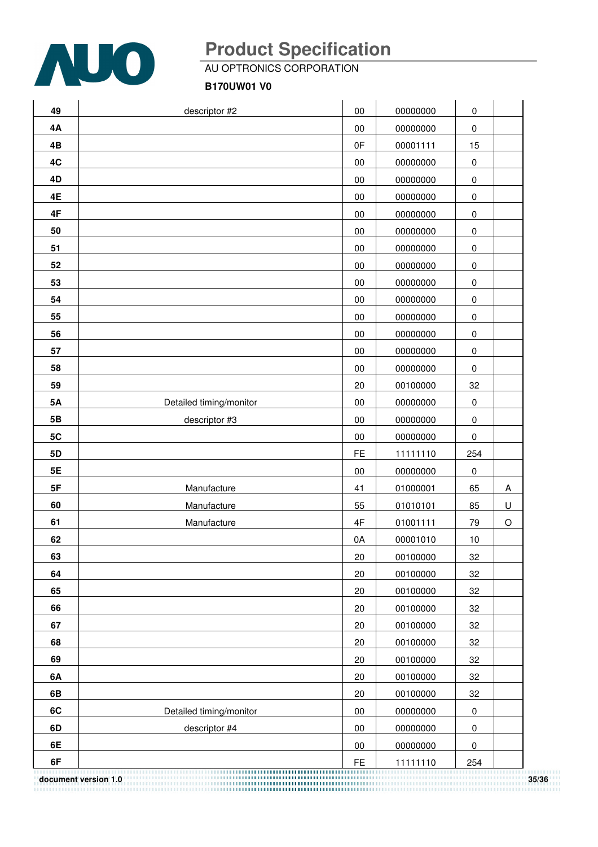

AU OPTRONICS CORPORATION

**B170UW01 V0**

| 49        | descriptor #2           | 00            | 00000000 | $\pmb{0}$   |            |
|-----------|-------------------------|---------------|----------|-------------|------------|
| 4А        |                         | $00\,$        | 00000000 | $\pmb{0}$   |            |
| 4B        |                         | 0F            | 00001111 | 15          |            |
| 4C        |                         | $00\,$        | 00000000 | $\pmb{0}$   |            |
| 4D        |                         | $00\,$        | 00000000 | $\pmb{0}$   |            |
| 4E        |                         | $00\,$        | 00000000 | $\pmb{0}$   |            |
| 4F        |                         | $00\,$        | 00000000 | $\pmb{0}$   |            |
| 50        |                         | 00            | 00000000 | $\pmb{0}$   |            |
| 51        |                         | $00\,$        | 00000000 | $\pmb{0}$   |            |
| 52        |                         | 00            | 00000000 | $\pmb{0}$   |            |
| 53        |                         | $00\,$        | 00000000 | $\pmb{0}$   |            |
| 54        |                         | $00\,$        | 00000000 | $\pmb{0}$   |            |
| 55        |                         | 00            | 00000000 | $\pmb{0}$   |            |
| 56        |                         | $00\,$        | 00000000 | $\pmb{0}$   |            |
| 57        |                         | $00\,$        | 00000000 | $\pmb{0}$   |            |
| 58        |                         | 00            | 00000000 | $\mathbf 0$ |            |
| 59        |                         | 20            | 00100000 | 32          |            |
| <b>5A</b> | Detailed timing/monitor | $00\,$        | 00000000 | $\pmb{0}$   |            |
| 5B        | descriptor #3           | $00\,$        | 00000000 | $\pmb{0}$   |            |
| 5C        |                         | $00\,$        | 00000000 | $\pmb{0}$   |            |
| 5D        |                         | FE            | 11111110 | 254         |            |
| 5E        |                         | 00            | 00000000 | $\mathbf 0$ |            |
| 5F        | Manufacture             | 41            | 01000001 | 65          | A          |
| 60        | Manufacture             | 55            | 01010101 | 85          | $\sf U$    |
| 61        | Manufacture             | $4\mathsf{F}$ | 01001111 | 79          | $\bigcirc$ |
| 62        |                         | 0A            | 00001010 | $10$        |            |
| 63        |                         | 20            | 00100000 | 32          |            |
| 64        |                         | 20            | 00100000 | 32          |            |
| 65        |                         | 20            | 00100000 | 32          |            |
| 66        |                         | 20            | 00100000 | 32          |            |
| 67        |                         | 20            | 00100000 | 32          |            |
| 68        |                         | 20            | 00100000 | 32          |            |
| 69        |                         | 20            | 00100000 | 32          |            |
| 6A        |                         | 20            | 00100000 | 32          |            |
| 6B        |                         | 20            | 00100000 | 32          |            |
| 6C        | Detailed timing/monitor | $00\,$        | 00000000 | 0           |            |
| 6D        | descriptor #4           | $00\,$        | 00000000 | $\pmb{0}$   |            |
| 6E        |                         | 00            | 00000000 | 0           |            |
| 6F        |                         | FE            | 11111110 | 254         |            |